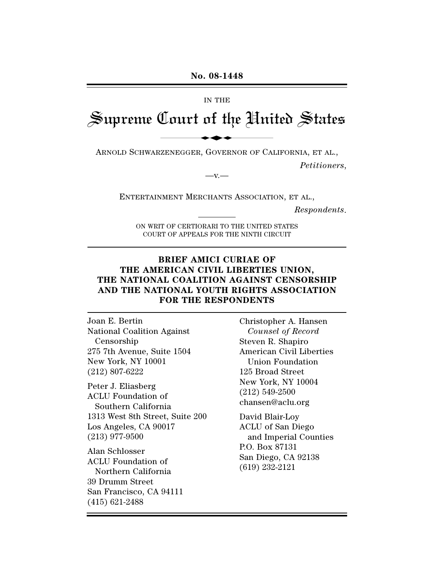#### IN THE

# Supreme Court of the United States No. 08-1448

ARNOLD SCHWARZENEGGER, GOVERNOR OF CALIFORNIA, ET AL.,

 $-V -$ 

*Petitioners*,

ENTERTAINMENT MERCHANTS ASSOCIATION, ET AL.,

*Respondents*.

ON WRIT OF CERTIORARI TO THE UNITED STATES COURT OF APPEALS FOR THE NINTH CIRCUIT

## **BRIEF AMICI CURIAE OF THE AMERICAN CIVIL LIBERTIES UNION, THE NATIONAL COALITION AGAINST CENSORSHIP AND THE NATIONAL YOUTH RIGHTS ASSOCIATION FOR THE RESPONDENTS**

Joan E. Bertin National Coalition Against Censorship 275 7th Avenue, Suite 1504 New York, NY 10001 (212) 807-6222

Peter J. Eliasberg ACLU Foundation of Southern California 1313 West 8th Street, Suite 200 Los Angeles, CA 90017 (213) 977-9500

Alan Schlosser ACLU Foundation of Northern California 39 Drumm Street San Francisco, CA 94111 (415) 621-2488

Christopher A. Hansen *Counsel of Record* Steven R. Shapiro American Civil Liberties Union Foundation 125 Broad Street New York, NY 10004 (212) 549-2500 chansen@aclu.org

David Blair-Loy ACLU of San Diego and Imperial Counties P.O. Box 87131 San Diego, CA 92138 (619) 232-2121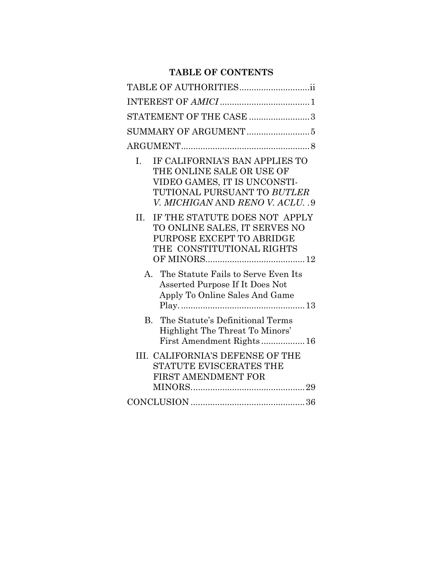# **TABLE OF CONTENTS**

|         | TABLE OF AUTHORITIESii                                                                                                                                         |
|---------|----------------------------------------------------------------------------------------------------------------------------------------------------------------|
|         |                                                                                                                                                                |
|         | STATEMENT OF THE CASE 3                                                                                                                                        |
|         |                                                                                                                                                                |
|         |                                                                                                                                                                |
| I.      | IF CALIFORNIA'S BAN APPLIES TO<br>THE ONLINE SALE OR USE OF<br>VIDEO GAMES, IT IS UNCONSTI-<br>TUTIONAL PURSUANT TO BUTLER<br>V. MICHIGAN AND RENO V. ACLU. .9 |
| $\Pi$ . | IF THE STATUTE DOES NOT APPLY<br>TO ONLINE SALES, IT SERVES NO<br>PURPOSE EXCEPT TO ABRIDGE<br>THE CONSTITUTIONAL RIGHTS                                       |
|         | A. The Statute Fails to Serve Even Its<br>Asserted Purpose If It Does Not<br>Apply To Online Sales And Game                                                    |
|         | B. The Statute's Definitional Terms<br>Highlight The Threat To Minors'<br>First Amendment Rights 16                                                            |
|         | III. CALIFORNIA'S DEFENSE OF THE<br>STATUTE EVISCERATES THE<br><b>FIRST AMENDMENT FOR</b>                                                                      |
|         |                                                                                                                                                                |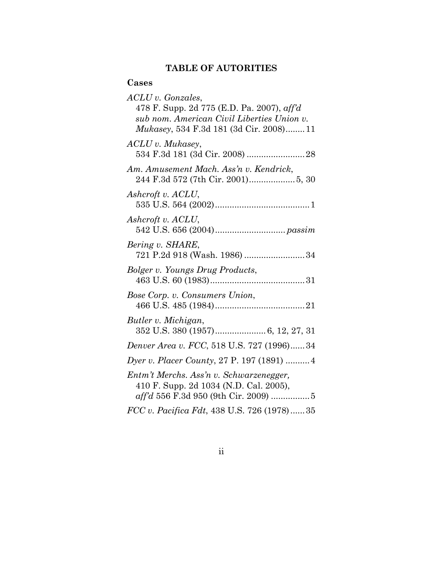# **TABLE OF AUTORITIES**

# **Cases**

| $ACLU$ v. Gonzales,<br>478 F. Supp. 2d 775 (E.D. Pa. 2007), $\alpha f/d$<br>sub nom. American Civil Liberties Union v.<br><i>Mukasey</i> , 534 F.3d 181 (3d Cir. 2008)11 |
|--------------------------------------------------------------------------------------------------------------------------------------------------------------------------|
| $ACLU$ v. Mukasey,                                                                                                                                                       |
| Am. Amusement Mach. Ass'n v. Kendrick,                                                                                                                                   |
| Ashcroft v. ACLU,                                                                                                                                                        |
| Ashcroft v. ACLU,                                                                                                                                                        |
| Bering v. SHARE,<br>721 P.2d 918 (Wash. 1986) 34                                                                                                                         |
| Bolger v. Youngs Drug Products,                                                                                                                                          |
| Bose Corp. v. Consumers Union,                                                                                                                                           |
| Butler v. Michigan,<br>352 U.S. 380 (1957) 6, 12, 27, 31                                                                                                                 |
| Denver Area v. FCC, 518 U.S. 727 (1996)34                                                                                                                                |
| Dyer v. Placer County, 27 P. 197 (1891)  4                                                                                                                               |
| Entm't Merchs. Ass'n v. Schwarzenegger,<br>410 F. Supp. 2d 1034 (N.D. Cal. 2005),<br>aff'd 556 F.3d 950 (9th Cir. 2009) 5                                                |
| FCC v. Pacifica Fdt, 438 U.S. 726 (1978)35                                                                                                                               |

ii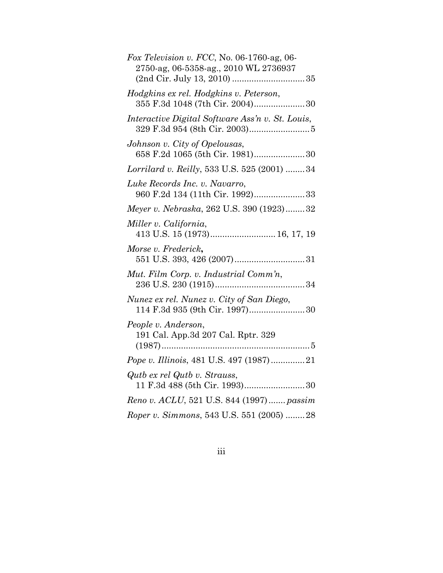| Fox Television v. FCC, No. 06-1760-ag, 06-<br>2750-ag, 06-5358-ag., 2010 WL 2736937 |
|-------------------------------------------------------------------------------------|
| Hodgkins ex rel. Hodgkins v. Peterson,<br>355 F.3d 1048 (7th Cir. 2004)30           |
| Interactive Digital Software Ass'n v. St. Louis,                                    |
| Johnson v. City of Opelousas,<br>658 F.2d 1065 (5th Cir. 1981) 30                   |
| Lorrilard v. Reilly, 533 U.S. 525 (2001)  34                                        |
| Luke Records Inc. v. Navarro,<br>960 F.2d 134 (11th Cir. 1992)33                    |
| Meyer v. Nebraska, 262 U.S. 390 (1923)32                                            |
| Miller v. California,<br>413 U.S. 15 (1973) 16, 17, 19                              |
| Morse v. Frederick,                                                                 |
| Mut. Film Corp. v. Industrial Comm'n,                                               |
| Nunez ex rel. Nunez v. City of San Diego,<br>114 F.3d 935 (9th Cir. 1997)30         |
| People v. Anderson,<br>191 Cal. App.3d 207 Cal. Rptr. 329                           |
| Pope v. Illinois, 481 U.S. 497 (1987)21                                             |
| Qutb ex rel Qutb v. Strauss,                                                        |
| Reno v. ACLU, 521 U.S. 844 (1997) passim                                            |
| Roper v. Simmons, 543 U.S. 551 (2005) 28                                            |

iii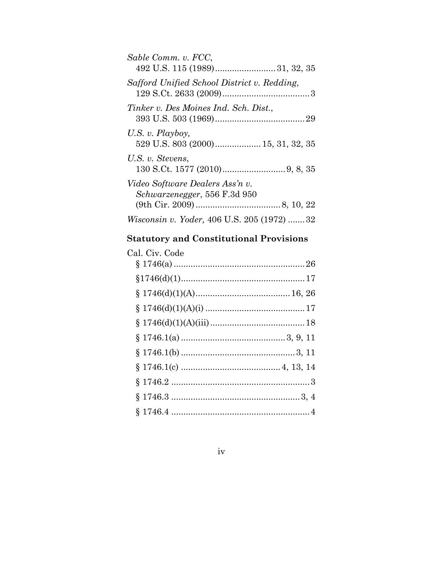| Sable Comm. v. FCC,                                                     |
|-------------------------------------------------------------------------|
| Safford Unified School District v. Redding,                             |
| Tinker v. Des Moines Ind. Sch. Dist.,                                   |
| U.S. v. Playboy,                                                        |
| U.S. v. Stevens,                                                        |
| Video Software Dealers Ass'n v.<br><i>Schwarzenegger</i> , 556 F.3d 950 |
| <i>Wisconsin v. Yoder, 406 U.S. 205 (1972) 32</i>                       |

# **Statutory and Constitutional Provisions**

| Cal. Civ. Code |  |
|----------------|--|
|                |  |
|                |  |
|                |  |
|                |  |
|                |  |
|                |  |
|                |  |
|                |  |
|                |  |
|                |  |
|                |  |

iv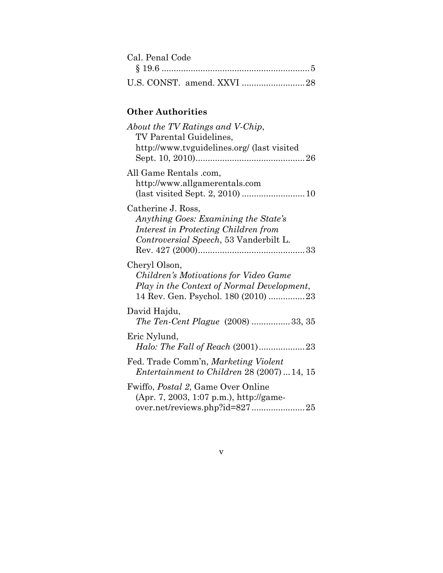| Cal. Penal Code |  |
|-----------------|--|
|                 |  |
|                 |  |

# **Other Authorities**

| About the TV Ratings and V-Chip,<br>TV Parental Guidelines,<br>http://www.tvguidelines.org/ (last visited                                    |
|----------------------------------------------------------------------------------------------------------------------------------------------|
| All Game Rentals .com,<br>http://www.allgamerentals.com                                                                                      |
| Catherine J. Ross,<br>Anything Goes: Examining the State's<br>Interest in Protecting Children from<br>Controversial Speech, 53 Vanderbilt L. |
| Cheryl Olson,<br>Children's Motivations for Video Game<br>Play in the Context of Normal Development,<br>14 Rev. Gen. Psychol. 180 (2010) 23  |
| David Hajdu,<br>The Ten-Cent Plague (2008) 33, 35                                                                                            |
| Eric Nylund,                                                                                                                                 |
| Fed. Trade Comm'n, Marketing Violent<br>Entertainment to Children $28(2007)14,15$                                                            |
| Fwiffo, <i>Postal 2</i> , Game Over Online<br>(Apr. 7, 2003, 1:07 p.m.), http://game-                                                        |

v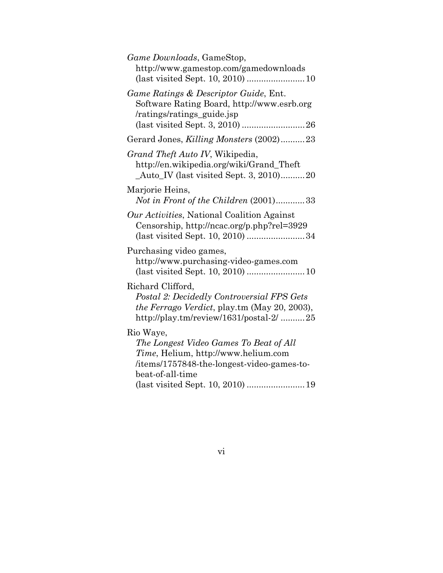| Game Ratings & Descriptor Guide, Ent.<br>Software Rating Board, http://www.esrb.org<br>/ratings/ratings_guide.jsp<br>Gerard Jones, Killing Monsters (2002)23<br>Grand Theft Auto IV, Wikipedia,<br>http://en.wikipedia.org/wiki/Grand_Theft<br>$\_\text{Auto\_IV}$ (last visited Sept. 3, 2010)20<br>Marjorie Heins,<br>Not in Front of the Children (2001)33<br>Our Activities, National Coalition Against<br>Censorship, http://ncac.org/p.php?rel=3929<br>Purchasing video games,<br>http://www.purchasing-video-games.com<br>Richard Clifford,<br>Postal 2: Decidedly Controversial FPS Gets<br>the Ferrago Verdict, play.tm (May 20, 2003), |
|--------------------------------------------------------------------------------------------------------------------------------------------------------------------------------------------------------------------------------------------------------------------------------------------------------------------------------------------------------------------------------------------------------------------------------------------------------------------------------------------------------------------------------------------------------------------------------------------------------------------------------------------------|
|                                                                                                                                                                                                                                                                                                                                                                                                                                                                                                                                                                                                                                                  |
|                                                                                                                                                                                                                                                                                                                                                                                                                                                                                                                                                                                                                                                  |
|                                                                                                                                                                                                                                                                                                                                                                                                                                                                                                                                                                                                                                                  |
|                                                                                                                                                                                                                                                                                                                                                                                                                                                                                                                                                                                                                                                  |
|                                                                                                                                                                                                                                                                                                                                                                                                                                                                                                                                                                                                                                                  |
|                                                                                                                                                                                                                                                                                                                                                                                                                                                                                                                                                                                                                                                  |
| http://play.tm/review/1631/postal-2/ 25                                                                                                                                                                                                                                                                                                                                                                                                                                                                                                                                                                                                          |
| Rio Waye,<br>The Longest Video Games To Beat of All<br><i>Time</i> , Helium, http://www.helium.com<br>/items/1757848-the-longest-video-games-to-<br>beat-of-all-time<br>(last visited Sept. 10, 2010)  19                                                                                                                                                                                                                                                                                                                                                                                                                                        |

vi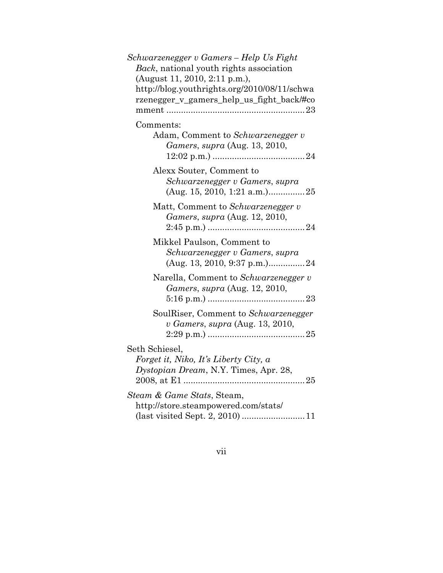| Schwarzenegger v Gamers – Help Us Fight      |
|----------------------------------------------|
| Back, national youth rights association      |
| (August 11, 2010, 2:11 p.m.),                |
| http://blog.youthrights.org/2010/08/11/schwa |
| rzenegger_v_gamers_help_us_fight_back#co     |
|                                              |
| Comments:                                    |
| Adam, Comment to Schwarzenegger v            |
| <i>Gamers, supra</i> (Aug. 13, 2010,         |
|                                              |
| Alexx Souter, Comment to                     |
| Schwarzenegger v Gamers, supra               |
| (Aug. 15, 2010, 1:21 a.m.)25                 |
| Matt, Comment to Schwarzenegger v            |
| <i>Gamers, supra</i> (Aug. 12, 2010,         |
|                                              |
| Mikkel Paulson, Comment to                   |
| Schwarzenegger v Gamers, supra               |
| (Aug. 13, 2010, 9:37 p.m.).                  |
| Narella, Comment to Schwarzenegger v         |
| Gamers, supra (Aug. 12, 2010,                |
|                                              |
| SoulRiser, Comment to Schwarzenegger         |
| v Gamers, supra (Aug. 13, 2010,              |
|                                              |
| Seth Schiesel,                               |
| Forget it, Niko, It's Liberty City, a        |
| Dystopian Dream, N.Y. Times, Apr. 28,        |
| $\ldots \ldots 25$                           |
| Steam & Game Stats, Steam,                   |
| http://store.steampowered.com/stats/         |
|                                              |

vii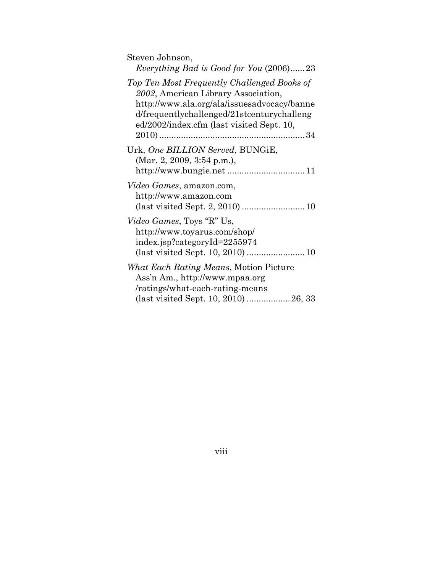| Steven Johnson,<br>Everything Bad is Good for You $(2006)$ 23                                                                                                                                                                |
|------------------------------------------------------------------------------------------------------------------------------------------------------------------------------------------------------------------------------|
| Top Ten Most Frequently Challenged Books of<br>2002, American Library Association,<br>http://www.ala.org/ala/issuesadvocacy/banne<br>d/frequentlychallenged/21stcenturychalleng<br>ed/2002/index.cfm (last visited Sept. 10, |
| Urk, One BILLION Served, BUNGiE,<br>(Mar. 2, 2009, 3:54 p.m.),                                                                                                                                                               |
| <i>Video Games, amazon.com,</i><br>http://www.amazon.com                                                                                                                                                                     |
| <i>Video Games</i> , Toys "R" Us,<br>http://www.toyarus.com/shop/<br>index.jsp?categoryId=2255974                                                                                                                            |
| <i>What Each Rating Means, Motion Picture</i><br>Ass'n Am., http://www.mpaa.org<br>/ratings/what-each-rating-means                                                                                                           |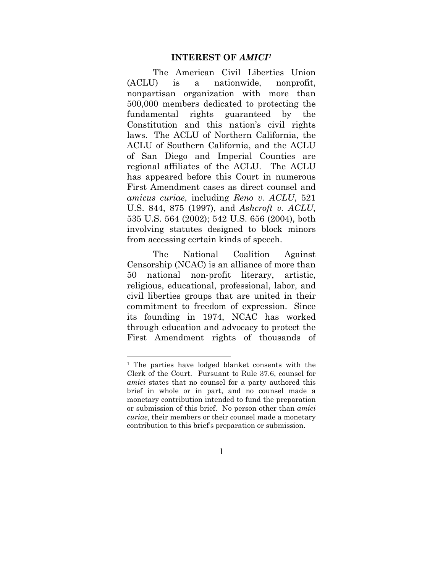#### **INTEREST OF** *AMICI1*

 The American Civil Liberties Union (ACLU) is a nationwide, nonprofit, nonpartisan organization with more than 500,000 members dedicated to protecting the fundamental rights guaranteed by the Constitution and this nation's civil rights laws. The ACLU of Northern California, the ACLU of Southern California, and the ACLU of San Diego and Imperial Counties are regional affiliates of the ACLU. The ACLU has appeared before this Court in numerous First Amendment cases as direct counsel and *amicus curiae*, including *Reno v. ACLU*, 521 U.S. 844, 875 (1997), and *Ashcroft v. ACLU*, 535 U.S. 564 (2002); 542 U.S. 656 (2004), both involving statutes designed to block minors from accessing certain kinds of speech.

 The National Coalition Against Censorship (NCAC) is an alliance of more than 50 national non-profit literary, artistic, religious, educational, professional, labor, and civil liberties groups that are united in their commitment to freedom of expression. Since its founding in 1974, NCAC has worked through education and advocacy to protect the First Amendment rights of thousands of

 $\overline{a}$ 

<sup>1</sup> The parties have lodged blanket consents with the Clerk of the Court. Pursuant to Rule 37.6, counsel for *amici* states that no counsel for a party authored this brief in whole or in part, and no counsel made a monetary contribution intended to fund the preparation or submission of this brief. No person other than *amici curiae*, their members or their counsel made a monetary contribution to this brief's preparation or submission.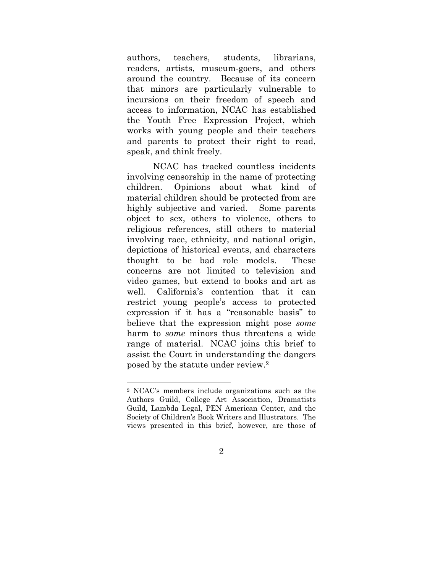authors, teachers, students, librarians, readers, artists, museum-goers, and others around the country. Because of its concern that minors are particularly vulnerable to incursions on their freedom of speech and access to information, NCAC has established the Youth Free Expression Project, which works with young people and their teachers and parents to protect their right to read, speak, and think freely.

NCAC has tracked countless incidents involving censorship in the name of protecting children. Opinions about what kind of material children should be protected from are highly subjective and varied. Some parents object to sex, others to violence, others to religious references, still others to material involving race, ethnicity, and national origin, depictions of historical events, and characters thought to be bad role models. These concerns are not limited to television and video games, but extend to books and art as well. California's contention that it can restrict young people's access to protected expression if it has a "reasonable basis" to believe that the expression might pose *some* harm to *some* minors thus threatens a wide range of material. NCAC joins this brief to assist the Court in understanding the dangers posed by the statute under review.2

<sup>2</sup> NCAC's members include organizations such as the Authors Guild, College Art Association, Dramatists Guild, Lambda Legal, PEN American Center, and the Society of Children's Book Writers and Illustrators. The views presented in this brief, however, are those of

<sup>2</sup>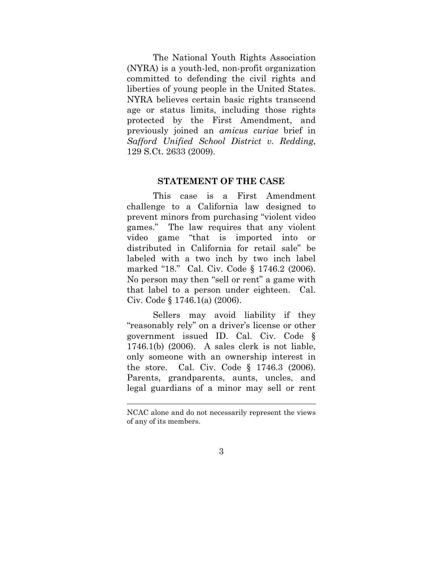The National Youth Rights Association (NYRA) is a youth-led, non-profit organization committed to defending the civil rights and liberties of young people in the United States. NYRA believes certain basic rights transcend age or status limits, including those rights protected by the First Amendment, and previously joined an *amicus curiae* brief in *Safford Unified School District v. Redding*, 129 S.Ct. 2633 (2009).

#### **STATEMENT OF THE CASE**

This case is a First Amendment challenge to a California law designed to prevent minors from purchasing "violent video games." The law requires that any violent video game "that is imported into or distributed in California for retail sale" be labeled with a two inch by two inch label marked "18." Cal. Civ. Code § 1746.2 (2006). No person may then "sell or rent" a game with that label to a person under eighteen. Cal. Civ. Code § 1746.1(a) (2006).

Sellers may avoid liability if they "reasonably rely" on a driver's license or other government issued ID. Cal. Civ. Code § 1746.1(b) (2006). A sales clerk is not liable, only someone with an ownership interest in the store. Cal. Civ. Code § 1746.3 (2006). Parents, grandparents, aunts, uncles, and legal guardians of a minor may sell or rent

NCAC alone and do not necessarily represent the views of any of its members.

<sup>3</sup>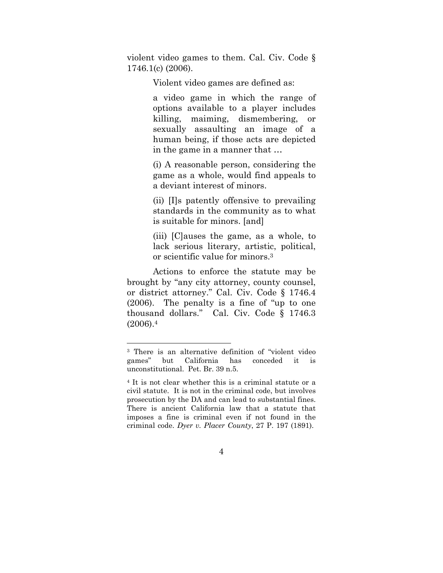violent video games to them. Cal. Civ. Code § 1746.1(c) (2006).

Violent video games are defined as:

a video game in which the range of options available to a player includes killing, maiming, dismembering, or sexually assaulting an image of a human being, if those acts are depicted in the game in a manner that …

(i) A reasonable person, considering the game as a whole, would find appeals to a deviant interest of minors.

(ii) [I]s patently offensive to prevailing standards in the community as to what is suitable for minors. [and]

(iii) [C]auses the game, as a whole, to lack serious literary, artistic, political, or scientific value for minors.3

 Actions to enforce the statute may be brought by "any city attorney, county counsel, or district attorney." Cal. Civ. Code § 1746.4 (2006). The penalty is a fine of "up to one thousand dollars." Cal. Civ. Code § 1746.3  $(2006).4$ 

<sup>3</sup> There is an alternative definition of "violent video games" but California has conceded it is unconstitutional. Pet. Br. 39 n.5.

<sup>4</sup> It is not clear whether this is a criminal statute or a civil statute. It is not in the criminal code, but involves prosecution by the DA and can lead to substantial fines. There is ancient California law that a statute that imposes a fine is criminal even if not found in the criminal code. *Dyer v. Placer County*, 27 P. 197 (1891).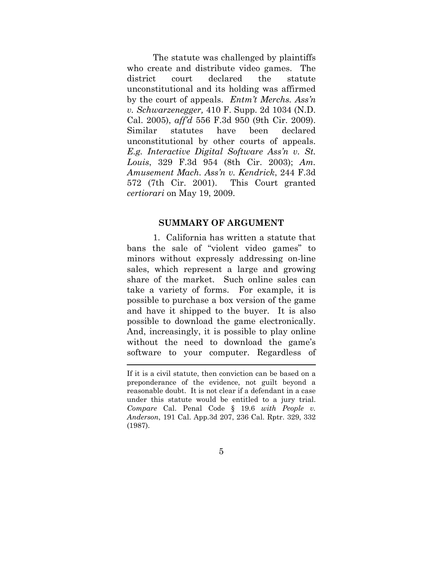The statute was challenged by plaintiffs who create and distribute video games. The district court declared the statute unconstitutional and its holding was affirmed by the court of appeals. *Entm't Merchs. Ass'n v. Schwarzenegger,* 410 F. Supp. 2d 1034 (N.D. Cal. 2005), *aff'd* 556 F.3d 950 (9th Cir. 2009). Similar statutes have been declared unconstitutional by other courts of appeals. *E.g. Interactive Digital Software Ass'n v. St. Louis*, 329 F.3d 954 (8th Cir. 2003); *Am. Amusement Mach. Ass'n v. Kendrick*, 244 F.3d 572 (7th Cir. 2001). This Court granted *certiorari* on May 19, 2009.

#### **SUMMARY OF ARGUMENT**

 1. California has written a statute that bans the sale of "violent video games" to minors without expressly addressing on-line sales, which represent a large and growing share of the market. Such online sales can take a variety of forms. For example, it is possible to purchase a box version of the game and have it shipped to the buyer. It is also possible to download the game electronically. And, increasingly, it is possible to play online without the need to download the game's software to your computer. Regardless of

If it is a civil statute, then conviction can be based on a preponderance of the evidence, not guilt beyond a reasonable doubt. It is not clear if a defendant in a case under this statute would be entitled to a jury trial. *Compare* Cal. Penal Code § 19.6 *with People v. Anderson*, 191 Cal. App.3d 207, 236 Cal. Rptr. 329, 332 (1987).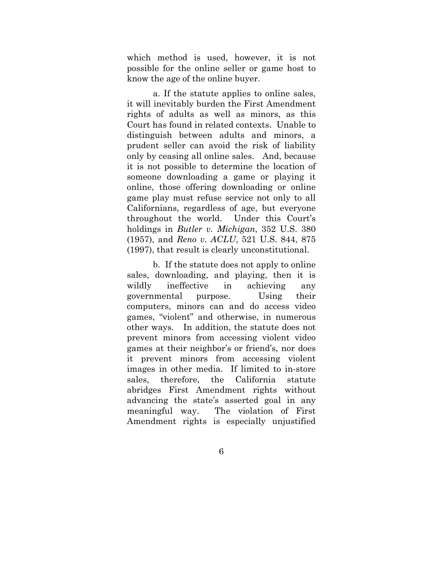which method is used, however, it is not possible for the online seller or game host to know the age of the online buyer.

 a. If the statute applies to online sales, it will inevitably burden the First Amendment rights of adults as well as minors, as this Court has found in related contexts. Unable to distinguish between adults and minors, a prudent seller can avoid the risk of liability only by ceasing all online sales. And, because it is not possible to determine the location of someone downloading a game or playing it online, those offering downloading or online game play must refuse service not only to all Californians, regardless of age, but everyone throughout the world. Under this Court's holdings in *Butler v. Michigan*, 352 U.S. 380 (1957), and *Reno v. ACLU*, 521 U.S. 844, 875 (1997), that result is clearly unconstitutional.

 b. If the statute does not apply to online sales, downloading, and playing, then it is wildly ineffective in achieving any governmental purpose. Using their computers, minors can and do access video games, "violent" and otherwise, in numerous other ways. In addition, the statute does not prevent minors from accessing violent video games at their neighbor's or friend's, nor does it prevent minors from accessing violent images in other media. If limited to in-store sales, therefore, the California statute abridges First Amendment rights without advancing the state's asserted goal in any meaningful way. The violation of First Amendment rights is especially unjustified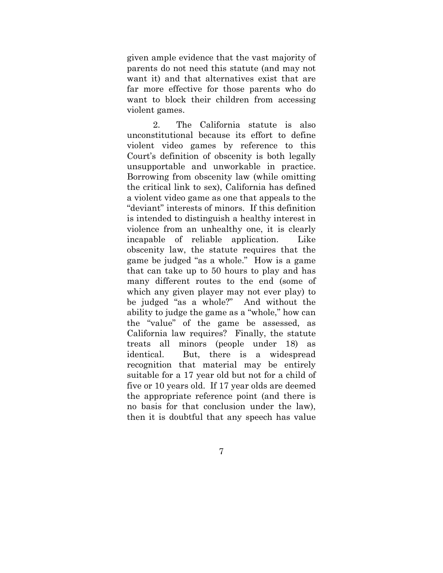given ample evidence that the vast majority of parents do not need this statute (and may not want it) and that alternatives exist that are far more effective for those parents who do want to block their children from accessing violent games.

 2. The California statute is also unconstitutional because its effort to define violent video games by reference to this Court's definition of obscenity is both legally unsupportable and unworkable in practice. Borrowing from obscenity law (while omitting the critical link to sex), California has defined a violent video game as one that appeals to the "deviant" interests of minors. If this definition is intended to distinguish a healthy interest in violence from an unhealthy one, it is clearly incapable of reliable application. Like obscenity law, the statute requires that the game be judged "as a whole." How is a game that can take up to 50 hours to play and has many different routes to the end (some of which any given player may not ever play) to be judged "as a whole?" And without the ability to judge the game as a "whole," how can the "value" of the game be assessed, as California law requires? Finally, the statute treats all minors (people under 18) as identical. But, there is a widespread recognition that material may be entirely suitable for a 17 year old but not for a child of five or 10 years old. If 17 year olds are deemed the appropriate reference point (and there is no basis for that conclusion under the law), then it is doubtful that any speech has value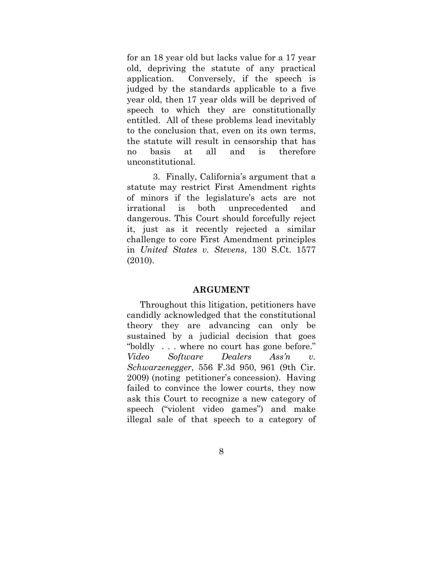for an 18 year old but lacks value for a 17 year old, depriving the statute of any practical application. Conversely, if the speech is judged by the standards applicable to a five year old, then 17 year olds will be deprived of speech to which they are constitutionally entitled. All of these problems lead inevitably to the conclusion that, even on its own terms, the statute will result in censorship that has no basis at all and is therefore unconstitutional.

 3. Finally, California's argument that a statute may restrict First Amendment rights of minors if the legislature's acts are not irrational is both unprecedented and dangerous. This Court should forcefully reject it, just as it recently rejected a similar challenge to core First Amendment principles in *United States v. Stevens*, 130 S.Ct. 1577 (2010).

#### **ARGUMENT**

Throughout this litigation, petitioners have candidly acknowledged that the constitutional theory they are advancing can only be sustained by a judicial decision that goes "boldly . . . where no court has gone before." *Video Software Dealers Ass'n v. Schwarzenegger*, 556 F.3d 950, 961 (9th Cir. 2009) (noting petitioner's concession). Having failed to convince the lower courts, they now ask this Court to recognize a new category of speech ("violent video games") and make illegal sale of that speech to a category of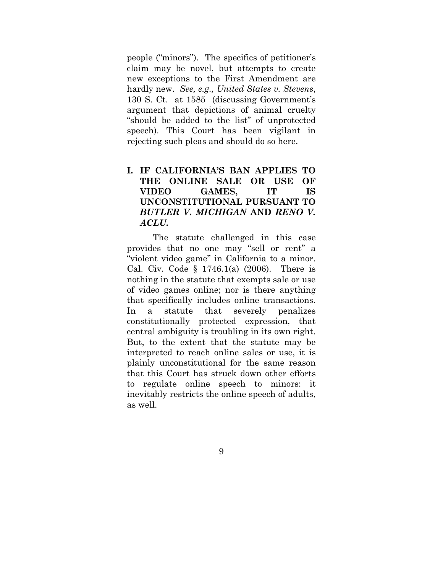people ("minors"). The specifics of petitioner's claim may be novel, but attempts to create new exceptions to the First Amendment are hardly new. *See, e.g., United States v. Stevens*, 130 S. Ct. at 1585 (discussing Government's argument that depictions of animal cruelty "should be added to the list" of unprotected speech). This Court has been vigilant in rejecting such pleas and should do so here.

# **I. IF CALIFORNIA'S BAN APPLIES TO THE ONLINE SALE OR USE OF VIDEO GAMES, IT IS UNCONSTITUTIONAL PURSUANT TO**  *BUTLER V. MICHIGAN* **AND** *RENO V. ACLU.*

 The statute challenged in this case provides that no one may "sell or rent" a "violent video game" in California to a minor. Cal. Civ. Code § 1746.1(a) (2006). There is nothing in the statute that exempts sale or use of video games online; nor is there anything that specifically includes online transactions. In a statute that severely penalizes constitutionally protected expression, that central ambiguity is troubling in its own right. But, to the extent that the statute may be interpreted to reach online sales or use, it is plainly unconstitutional for the same reason that this Court has struck down other efforts to regulate online speech to minors: it inevitably restricts the online speech of adults, as well.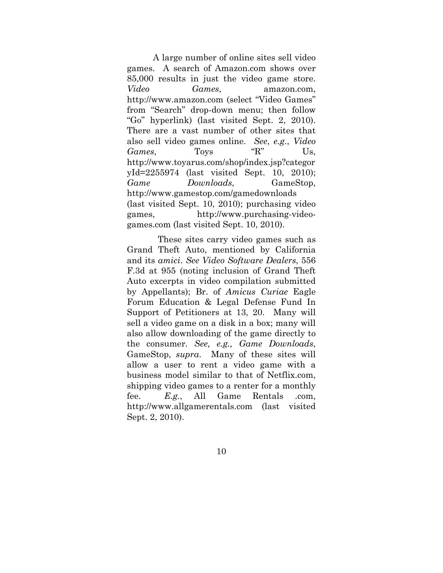A large number of online sites sell video games. A search of Amazon.com shows over 85,000 results in just the video game store. *Video Games*, amazon.com, http://www.amazon.com (select "Video Games" from "Search" drop-down menu; then follow "Go" hyperlink) (last visited Sept. 2, 2010). There are a vast number of other sites that also sell video games online. *See*, *e.g.*, *Video Games*, Toys "R" Us, http://www.toyarus.com/shop/index.jsp?categor yId=2255974 (last visited Sept. 10, 2010); *Game Downloads*, GameStop, http://www.gamestop.com/gamedownloads (last visited Sept. 10, 2010); purchasing video games, http://www.purchasing-videogames.com (last visited Sept. 10, 2010).

 These sites carry video games such as Grand Theft Auto, mentioned by California and its *amici*. *See Video Software Dealers*, 556 F.3d at 955 (noting inclusion of Grand Theft Auto excerpts in video compilation submitted by Appellants); Br. of *Amicus Curiae* Eagle Forum Education & Legal Defense Fund In Support of Petitioners at 13, 20. Many will sell a video game on a disk in a box; many will also allow downloading of the game directly to the consumer. *See, e.g., Game Downloads*, GameStop, *supra*. Many of these sites will allow a user to rent a video game with a business model similar to that of Netflix.com, shipping video games to a renter for a monthly fee. *E.g.*, All Game Rentals .com, http://www.allgamerentals.com (last visited Sept. 2, 2010).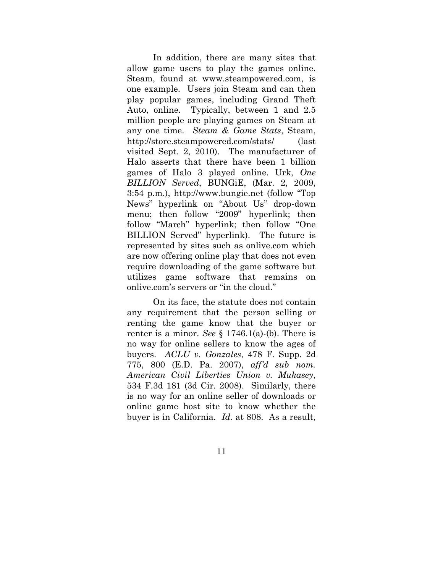In addition, there are many sites that allow game users to play the games online. Steam, found at www.steampowered.com, is one example. Users join Steam and can then play popular games, including Grand Theft Auto, online. Typically, between 1 and 2.5 million people are playing games on Steam at any one time. *Steam & Game Stats*, Steam, http://store.steampowered.com/stats/ (last visited Sept. 2, 2010). The manufacturer of Halo asserts that there have been 1 billion games of Halo 3 played online. Urk, *One BILLION Served*, BUNGiE, (Mar. 2, 2009, 3:54 p.m.), http://www.bungie.net (follow "Top News" hyperlink on "About Us" drop-down menu; then follow "2009" hyperlink; then follow "March" hyperlink; then follow "One BILLION Served" hyperlink). The future is represented by sites such as onlive.com which are now offering online play that does not even require downloading of the game software but utilizes game software that remains on onlive.com's servers or "in the cloud."

 On its face, the statute does not contain any requirement that the person selling or renting the game know that the buyer or renter is a minor. *See* § 1746.1(a)-(b). There is no way for online sellers to know the ages of buyers. *ACLU v. Gonzales*, 478 F. Supp. 2d 775, 800 (E.D. Pa. 2007), *aff'd sub nom. American Civil Liberties Union v. Mukasey*, 534 F.3d 181 (3d Cir. 2008). Similarly, there is no way for an online seller of downloads or online game host site to know whether the buyer is in California. *Id.* at 808. As a result,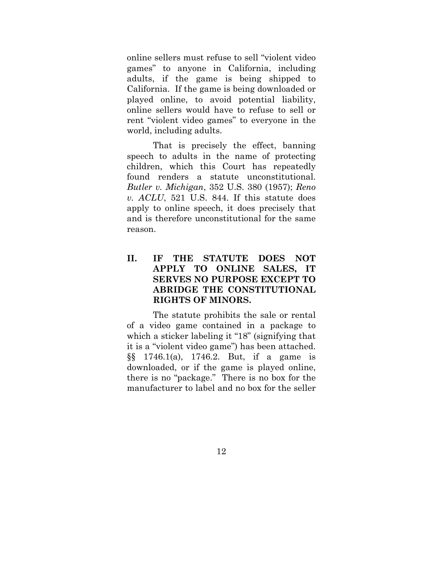online sellers must refuse to sell "violent video games" to anyone in California, including adults, if the game is being shipped to California. If the game is being downloaded or played online, to avoid potential liability, online sellers would have to refuse to sell or rent "violent video games" to everyone in the world, including adults.

 That is precisely the effect, banning speech to adults in the name of protecting children, which this Court has repeatedly found renders a statute unconstitutional. *Butler v. Michigan*, 352 U.S. 380 (1957); *Reno v. ACLU*, 521 U.S. 844. If this statute does apply to online speech, it does precisely that and is therefore unconstitutional for the same reason.

# **II. IF THE STATUTE DOES NOT APPLY TO ONLINE SALES, IT SERVES NO PURPOSE EXCEPT TO ABRIDGE THE CONSTITUTIONAL RIGHTS OF MINORS.**

 The statute prohibits the sale or rental of a video game contained in a package to which a sticker labeling it "18" (signifying that it is a "violent video game") has been attached. §§ 1746.1(a), 1746.2. But, if a game is downloaded, or if the game is played online, there is no "package." There is no box for the manufacturer to label and no box for the seller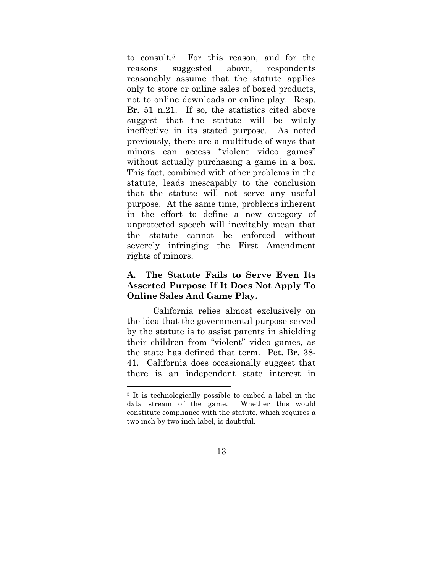to consult.5 For this reason, and for the reasons suggested above, respondents reasonably assume that the statute applies only to store or online sales of boxed products, not to online downloads or online play. Resp. Br. 51 n.21. If so, the statistics cited above suggest that the statute will be wildly ineffective in its stated purpose. As noted previously, there are a multitude of ways that minors can access "violent video games" without actually purchasing a game in a box. This fact, combined with other problems in the statute, leads inescapably to the conclusion that the statute will not serve any useful purpose. At the same time, problems inherent in the effort to define a new category of unprotected speech will inevitably mean that the statute cannot be enforced without severely infringing the First Amendment rights of minors.

# **A. The Statute Fails to Serve Even Its Asserted Purpose If It Does Not Apply To Online Sales And Game Play.**

 California relies almost exclusively on the idea that the governmental purpose served by the statute is to assist parents in shielding their children from "violent" video games, as the state has defined that term. Pet. Br. 38- 41. California does occasionally suggest that there is an independent state interest in

 $\overline{a}$ 

<sup>5</sup> It is technologically possible to embed a label in the data stream of the game. Whether this would constitute compliance with the statute, which requires a two inch by two inch label, is doubtful.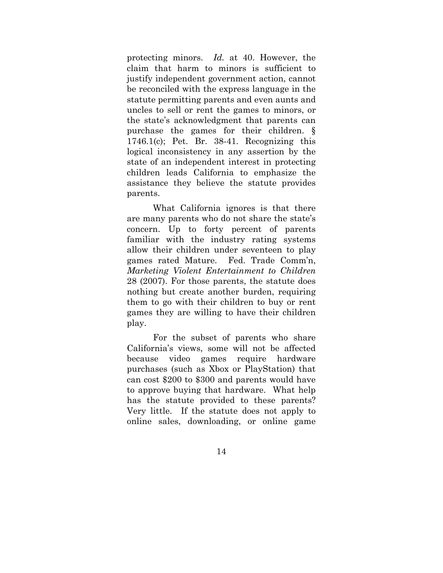protecting minors. *Id.* at 40. However, the claim that harm to minors is sufficient to justify independent government action, cannot be reconciled with the express language in the statute permitting parents and even aunts and uncles to sell or rent the games to minors, or the state's acknowledgment that parents can purchase the games for their children. § 1746.1(c); Pet. Br. 38-41. Recognizing this logical inconsistency in any assertion by the state of an independent interest in protecting children leads California to emphasize the assistance they believe the statute provides parents.

 What California ignores is that there are many parents who do not share the state's concern. Up to forty percent of parents familiar with the industry rating systems allow their children under seventeen to play games rated Mature. Fed. Trade Comm'n, *Marketing Violent Entertainment to Children* 28 (2007). For those parents, the statute does nothing but create another burden, requiring them to go with their children to buy or rent games they are willing to have their children play.

 For the subset of parents who share California's views, some will not be affected because video games require hardware purchases (such as Xbox or PlayStation) that can cost \$200 to \$300 and parents would have to approve buying that hardware. What help has the statute provided to these parents? Very little. If the statute does not apply to online sales, downloading, or online game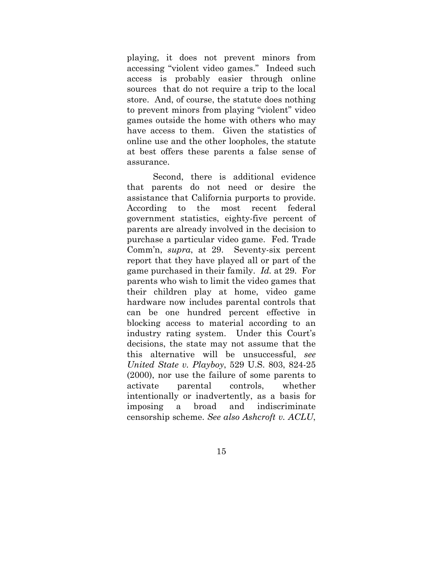playing, it does not prevent minors from accessing "violent video games." Indeed such access is probably easier through online sources that do not require a trip to the local store. And, of course, the statute does nothing to prevent minors from playing "violent" video games outside the home with others who may have access to them. Given the statistics of online use and the other loopholes, the statute at best offers these parents a false sense of assurance.

 Second, there is additional evidence that parents do not need or desire the assistance that California purports to provide. According to the most recent federal government statistics, eighty-five percent of parents are already involved in the decision to purchase a particular video game. Fed. Trade Comm'n, *supra*, at 29. Seventy-six percent report that they have played all or part of the game purchased in their family. *Id.* at 29. For parents who wish to limit the video games that their children play at home, video game hardware now includes parental controls that can be one hundred percent effective in blocking access to material according to an industry rating system. Under this Court's decisions, the state may not assume that the this alternative will be unsuccessful, *see United State v. Playboy*, 529 U.S. 803, 824-25 (2000), nor use the failure of some parents to activate parental controls, whether intentionally or inadvertently, as a basis for imposing a broad and indiscriminate censorship scheme. *See also Ashcroft v. ACLU*,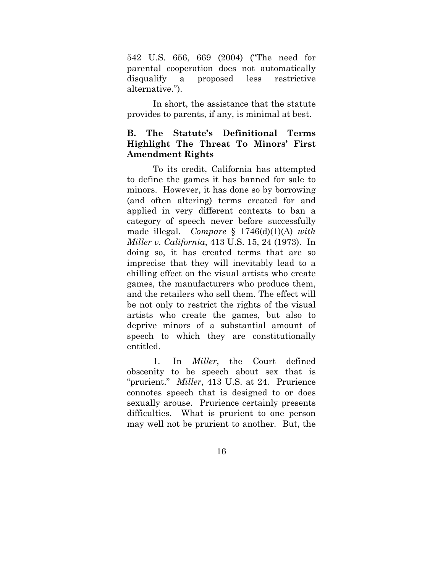542 U.S. 656, 669 (2004) ("The need for parental cooperation does not automatically disqualify a proposed less restrictive alternative.").

In short, the assistance that the statute provides to parents, if any, is minimal at best.

# **B. The Statute's Definitional Terms Highlight The Threat To Minors' First Amendment Rights**

To its credit, California has attempted to define the games it has banned for sale to minors. However, it has done so by borrowing (and often altering) terms created for and applied in very different contexts to ban a category of speech never before successfully made illegal. *Compare* § 1746(d)(1)(A) *with Miller v. California*, 413 U.S. 15, 24 (1973). In doing so, it has created terms that are so imprecise that they will inevitably lead to a chilling effect on the visual artists who create games, the manufacturers who produce them, and the retailers who sell them. The effect will be not only to restrict the rights of the visual artists who create the games, but also to deprive minors of a substantial amount of speech to which they are constitutionally entitled.

 1. In *Miller*, the Court defined obscenity to be speech about sex that is "prurient." *Miller*, 413 U.S. at 24. Prurience connotes speech that is designed to or does sexually arouse. Prurience certainly presents difficulties. What is prurient to one person may well not be prurient to another. But, the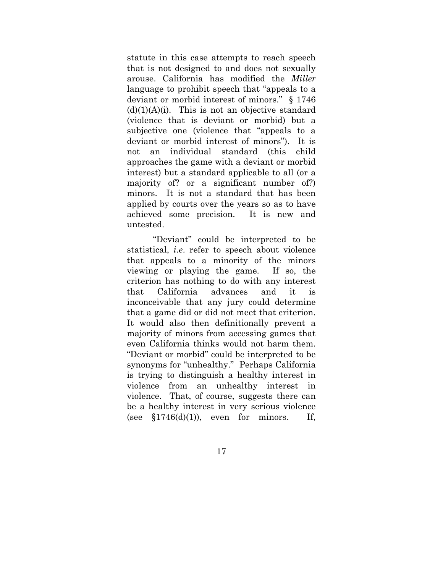statute in this case attempts to reach speech that is not designed to and does not sexually arouse. California has modified the *Miller* language to prohibit speech that "appeals to a deviant or morbid interest of minors." § 1746  $(d)(1)(A)(i)$ . This is not an objective standard (violence that is deviant or morbid) but a subjective one (violence that "appeals to a deviant or morbid interest of minors"). It is not an individual standard (this child approaches the game with a deviant or morbid interest) but a standard applicable to all (or a majority of? or a significant number of?) minors. It is not a standard that has been applied by courts over the years so as to have achieved some precision. It is new and untested.

"Deviant" could be interpreted to be statistical, *i.e*. refer to speech about violence that appeals to a minority of the minors viewing or playing the game. If so, the criterion has nothing to do with any interest that California advances and it is inconceivable that any jury could determine that a game did or did not meet that criterion. It would also then definitionally prevent a majority of minors from accessing games that even California thinks would not harm them. "Deviant or morbid" could be interpreted to be synonyms for "unhealthy." Perhaps California is trying to distinguish a healthy interest in violence from an unhealthy interest in violence. That, of course, suggests there can be a healthy interest in very serious violence (see  $$1746(d)(1)$ ), even for minors. If,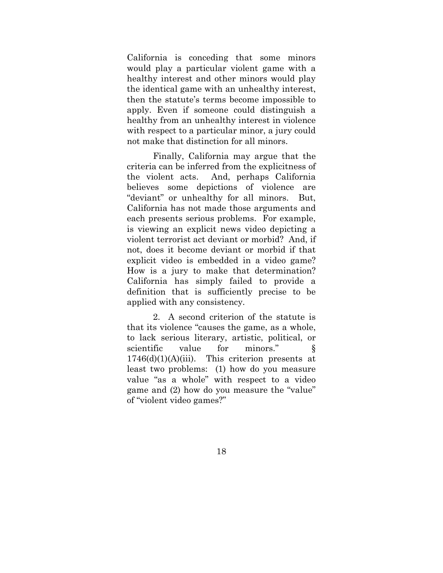California is conceding that some minors would play a particular violent game with a healthy interest and other minors would play the identical game with an unhealthy interest, then the statute's terms become impossible to apply. Even if someone could distinguish a healthy from an unhealthy interest in violence with respect to a particular minor, a jury could not make that distinction for all minors.

Finally, California may argue that the criteria can be inferred from the explicitness of the violent acts. And, perhaps California believes some depictions of violence are "deviant" or unhealthy for all minors. But, California has not made those arguments and each presents serious problems. For example, is viewing an explicit news video depicting a violent terrorist act deviant or morbid? And, if not, does it become deviant or morbid if that explicit video is embedded in a video game? How is a jury to make that determination? California has simply failed to provide a definition that is sufficiently precise to be applied with any consistency.

 2. A second criterion of the statute is that its violence "causes the game, as a whole, to lack serious literary, artistic, political, or scientific value for minors." §  $1746(d)(1)(A)(iii)$ . This criterion presents at least two problems: (1) how do you measure value "as a whole" with respect to a video game and (2) how do you measure the "value" of "violent video games?"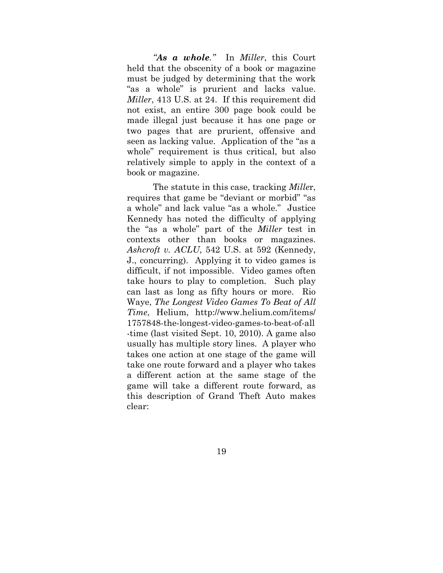*"As a whole."* In *Miller*, this Court held that the obscenity of a book or magazine must be judged by determining that the work "as a whole" is prurient and lacks value. *Miller*, 413 U.S. at 24. If this requirement did not exist, an entire 300 page book could be made illegal just because it has one page or two pages that are prurient, offensive and seen as lacking value. Application of the "as a whole" requirement is thus critical, but also relatively simple to apply in the context of a book or magazine.

The statute in this case, tracking *Mille*r, requires that game be "deviant or morbid" "as a whole" and lack value "as a whole." Justice Kennedy has noted the difficulty of applying the "as a whole" part of the *Miller* test in contexts other than books or magazines. *Ashcroft v. ACLU*, 542 U.S. at 592 (Kennedy, J., concurring). Applying it to video games is difficult, if not impossible. Video games often take hours to play to completion. Such play can last as long as fifty hours or more. Rio Waye, *The Longest Video Games To Beat of All Time*, Helium, http://www.helium.com/items/ 1757848-the-longest-video-games-to-beat-of-all -time (last visited Sept. 10, 2010). A game also usually has multiple story lines. A player who takes one action at one stage of the game will take one route forward and a player who takes a different action at the same stage of the game will take a different route forward, as this description of Grand Theft Auto makes clear: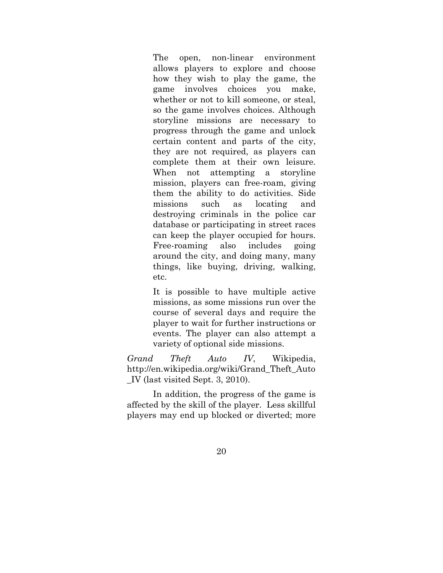The open, non-linear environment allows players to explore and choose how they wish to play the game, the game involves choices you make, whether or not to kill someone, or steal, so the game involves choices. Although storyline missions are necessary to progress through the game and unlock certain content and parts of the city, they are not required, as players can complete them at their own leisure. When not attempting a storyline mission, players can free-roam, giving them the ability to do activities. Side missions such as locating and destroying criminals in the police car database or participating in street races can keep the player occupied for hours. Free-roaming also includes going around the city, and doing many, many things, like buying, driving, walking, etc.

It is possible to have multiple active missions, as some missions run over the course of several days and require the player to wait for further instructions or events. The player can also attempt a variety of optional side missions.

*Grand Theft Auto IV*, Wikipedia, http://en.wikipedia.org/wiki/Grand\_Theft\_Auto \_IV (last visited Sept. 3, 2010).

In addition, the progress of the game is affected by the skill of the player. Less skillful players may end up blocked or diverted; more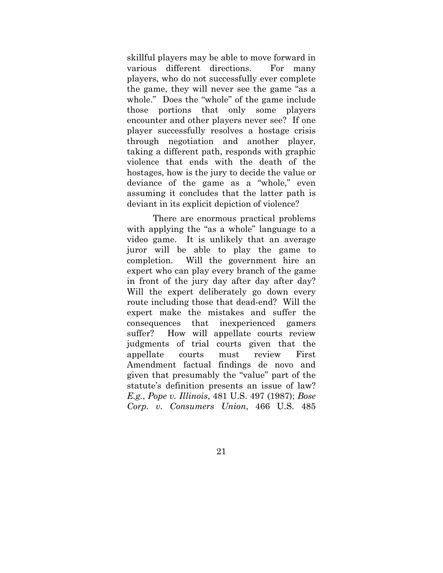skillful players may be able to move forward in various different directions. For many players, who do not successfully ever complete the game, they will never see the game "as a whole." Does the "whole" of the game include those portions that only some players encounter and other players never see? If one player successfully resolves a hostage crisis through negotiation and another player, taking a different path, responds with graphic violence that ends with the death of the hostages, how is the jury to decide the value or deviance of the game as a "whole," even assuming it concludes that the latter path is deviant in its explicit depiction of violence?

There are enormous practical problems with applying the "as a whole" language to a video game. It is unlikely that an average juror will be able to play the game to completion. Will the government hire an expert who can play every branch of the game in front of the jury day after day after day? Will the expert deliberately go down every route including those that dead-end? Will the expert make the mistakes and suffer the consequences that inexperienced gamers suffer? How will appellate courts review judgments of trial courts given that the appellate courts must review First Amendment factual findings de novo and given that presumably the "value" part of the statute's definition presents an issue of law? *E.g.*, *Pope v. Illinois*, 481 U.S. 497 (1987); *Bose Corp. v. Consumers Union*, 466 U.S. 485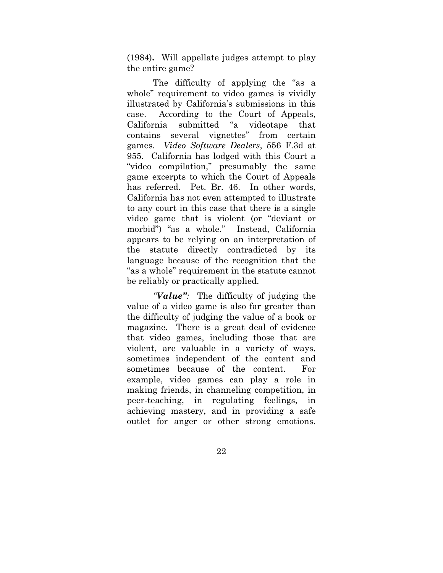(1984)**.** Will appellate judges attempt to play the entire game?

The difficulty of applying the "as a whole" requirement to video games is vividly illustrated by California's submissions in this case. According to the Court of Appeals, California submitted "a videotape that contains several vignettes" from certain games. *Video Software Dealers*, 556 F.3d at 955. California has lodged with this Court a "video compilation," presumably the same game excerpts to which the Court of Appeals has referred. Pet. Br. 46. In other words, California has not even attempted to illustrate to any court in this case that there is a single video game that is violent (or "deviant or morbid") "as a whole." Instead, California appears to be relying on an interpretation of the statute directly contradicted by its language because of the recognition that the "as a whole" requirement in the statute cannot be reliably or practically applied.

*"Value":* The difficulty of judging the value of a video game is also far greater than the difficulty of judging the value of a book or magazine. There is a great deal of evidence that video games, including those that are violent, are valuable in a variety of ways, sometimes independent of the content and sometimes because of the content. For example, video games can play a role in making friends, in channeling competition, in peer-teaching, in regulating feelings, in achieving mastery, and in providing a safe outlet for anger or other strong emotions.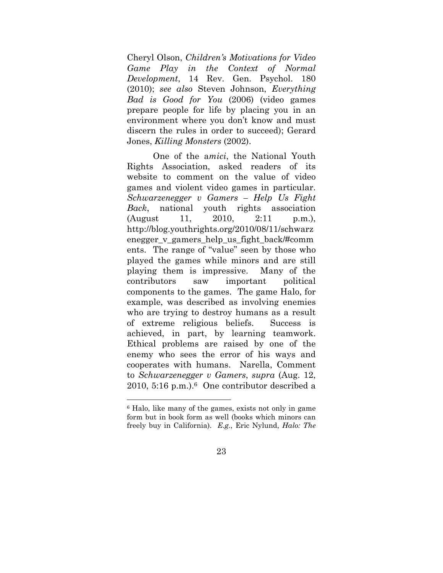Cheryl Olson, *Children's Motivations for Video Game Play in the Context of Normal Development*, 14 Rev. Gen. Psychol. 180 (2010); *see also* Steven Johnson, *Everything Bad is Good for You* (2006) (video games prepare people for life by placing you in an environment where you don't know and must discern the rules in order to succeed); Gerard Jones, *Killing Monsters* (2002).

One of the a*mici*, the National Youth Rights Association, asked readers of its website to comment on the value of video games and violent video games in particular. *Schwarzenegger v Gamers – Help Us Fight Back*, national youth rights association (August 11, 2010, 2:11 p.m.), http://blog.youthrights.org/2010/08/11/schwarz enegger v gamers help us fight back/#comm ents. The range of "value" seen by those who played the games while minors and are still playing them is impressive. Many of the contributors saw important political components to the games. The game Halo, for example, was described as involving enemies who are trying to destroy humans as a result of extreme religious beliefs. Success is achieved, in part, by learning teamwork. Ethical problems are raised by one of the enemy who sees the error of his ways and cooperates with humans. Narella, Comment to *Schwarzenegger v Gamers*, *supra* (Aug. 12,  $2010, 5:16 \text{ p.m.}$ .  $6$  One contributor described a

 $\overline{a}$ 

<sup>6</sup> Halo, like many of the games, exists not only in game form but in book form as well (books which minors can freely buy in California). *E.g.*, Eric Nylund, *Halo: The*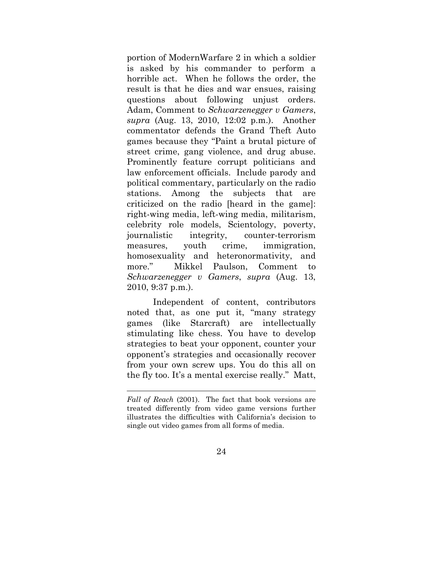portion of ModernWarfare 2 in which a soldier is asked by his commander to perform a horrible act. When he follows the order, the result is that he dies and war ensues, raising questions about following unjust orders. Adam, Comment to *Schwarzenegger v Gamers*, *supra* (Aug. 13, 2010, 12:02 p.m.). Another commentator defends the Grand Theft Auto games because they "Paint a brutal picture of street crime, gang violence, and drug abuse. Prominently feature corrupt politicians and law enforcement officials. Include parody and political commentary, particularly on the radio stations. Among the subjects that are criticized on the radio [heard in the game]: right-wing media, left-wing media, militarism, celebrity role models, Scientology, poverty, journalistic integrity, counter-terrorism measures, youth crime, immigration, homosexuality and heteronormativity, and more." Mikkel Paulson, Comment to *Schwarzenegger v Gamers*, *supra* (Aug. 13, 2010, 9:37 p.m.).

Independent of content, contributors noted that, as one put it, "many strategy games (like Starcraft) are intellectually stimulating like chess. You have to develop strategies to beat your opponent, counter your opponent's strategies and occasionally recover from your own screw ups. You do this all on the fly too. It's a mental exercise really." Matt,

 $\overline{a}$ 

*Fall of Reach* (2001). The fact that book versions are treated differently from video game versions further illustrates the difficulties with California's decision to single out video games from all forms of media.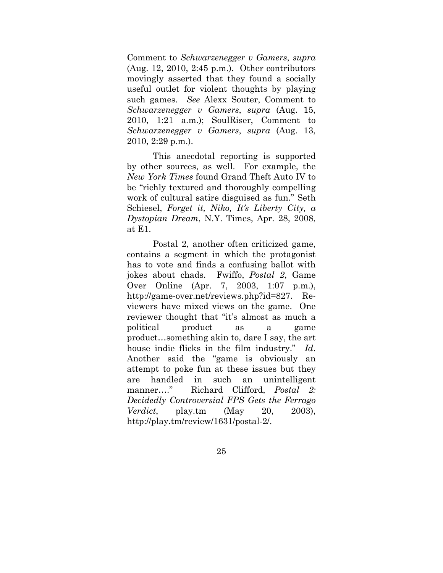Comment to *Schwarzenegger v Gamers*, *supra* (Aug. 12, 2010, 2:45 p.m.). Other contributors movingly asserted that they found a socially useful outlet for violent thoughts by playing such games. *See* Alexx Souter, Comment to *Schwarzenegger v Gamers*, *supra* (Aug. 15, 2010, 1:21 a.m.); SoulRiser, Comment to *Schwarzenegger v Gamers*, *supra* (Aug. 13, 2010, 2:29 p.m.).

This anecdotal reporting is supported by other sources, as well. For example, the *New York Times* found Grand Theft Auto IV to be "richly textured and thoroughly compelling work of cultural satire disguised as fun." Seth Schiesel, *Forget it, Niko, It's Liberty City, a Dystopian Dream*, N.Y. Times, Apr. 28, 2008, at E1.

Postal 2, another often criticized game, contains a segment in which the protagonist has to vote and finds a confusing ballot with jokes about chads. Fwiffo, *Postal 2*, Game Over Online (Apr. 7, 2003, 1:07 p.m.), http://game-over.net/reviews.php?id=827. Reviewers have mixed views on the game. One reviewer thought that "it's almost as much a political product as a game product…something akin to, dare I say, the art house indie flicks in the film industry." *Id*. Another said the "game is obviously an attempt to poke fun at these issues but they are handled in such an unintelligent manner…." Richard Clifford, *Postal 2: Decidedly Controversial FPS Gets the Ferrago Verdict*, play.tm (May 20, 2003), http://play.tm/review/1631/postal-2/.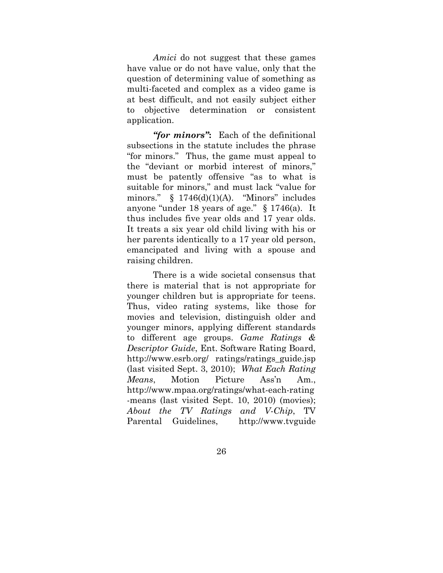*Amici* do not suggest that these games have value or do not have value, only that the question of determining value of something as multi-faceted and complex as a video game is at best difficult, and not easily subject either to objective determination or consistent application.

*"for minors"***:** Each of the definitional subsections in the statute includes the phrase "for minors." Thus, the game must appeal to the "deviant or morbid interest of minors," must be patently offensive "as to what is suitable for minors," and must lack "value for minors."  $\S$  1746(d)(1)(A). "Minors" includes anyone "under 18 years of age." § 1746(a). It thus includes five year olds and 17 year olds. It treats a six year old child living with his or her parents identically to a 17 year old person, emancipated and living with a spouse and raising children.

There is a wide societal consensus that there is material that is not appropriate for younger children but is appropriate for teens. Thus, video rating systems, like those for movies and television, distinguish older and younger minors, applying different standards to different age groups. *Game Ratings & Descriptor Guide*, Ent. Software Rating Board, http://www.esrb.org/ ratings/ratings\_guide.jsp (last visited Sept. 3, 2010); *What Each Rating Means*, Motion Picture Ass'n Am., http://www.mpaa.org/ratings/what-each-rating -means (last visited Sept. 10, 2010) (movies); *About the TV Ratings and V-Chip*, TV Parental Guidelines, http://www.tvguide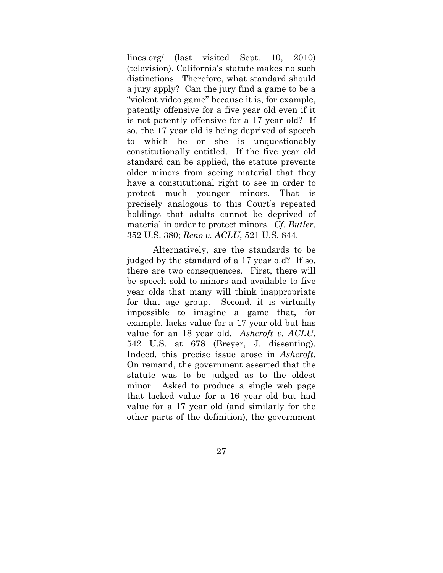lines.org/ (last visited Sept. 10, 2010) (television). California's statute makes no such distinctions. Therefore, what standard should a jury apply? Can the jury find a game to be a "violent video game" because it is, for example, patently offensive for a five year old even if it is not patently offensive for a 17 year old? If so, the 17 year old is being deprived of speech to which he or she is unquestionably constitutionally entitled. If the five year old standard can be applied, the statute prevents older minors from seeing material that they have a constitutional right to see in order to protect much younger minors. That is precisely analogous to this Court's repeated holdings that adults cannot be deprived of material in order to protect minors. *Cf. Butler*, 352 U.S. 380; *Reno v. ACLU*, 521 U.S. 844.

Alternatively, are the standards to be judged by the standard of a 17 year old? If so, there are two consequences. First, there will be speech sold to minors and available to five year olds that many will think inappropriate for that age group. Second, it is virtually impossible to imagine a game that, for example, lacks value for a 17 year old but has value for an 18 year old. *Ashcroft v. ACLU*, 542 U.S. at 678 (Breyer, J. dissenting). Indeed, this precise issue arose in *Ashcroft*. On remand, the government asserted that the statute was to be judged as to the oldest minor. Asked to produce a single web page that lacked value for a 16 year old but had value for a 17 year old (and similarly for the other parts of the definition), the government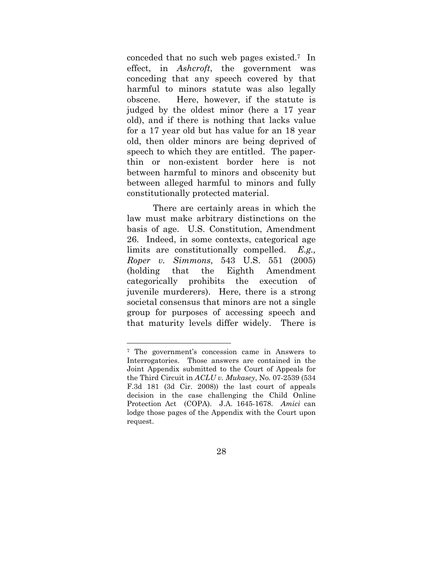conceded that no such web pages existed.7 In effect, in *Ashcroft*, the government was conceding that any speech covered by that harmful to minors statute was also legally obscene. Here, however, if the statute is judged by the oldest minor (here a 17 year old), and if there is nothing that lacks value for a 17 year old but has value for an 18 year old, then older minors are being deprived of speech to which they are entitled. The paperthin or non-existent border here is not between harmful to minors and obscenity but between alleged harmful to minors and fully constitutionally protected material.

There are certainly areas in which the law must make arbitrary distinctions on the basis of age. U.S. Constitution, Amendment 26. Indeed, in some contexts, categorical age limits are constitutionally compelled. *E.g., Roper v. Simmons*, 543 U.S. 551 (2005) (holding that the Eighth Amendment categorically prohibits the execution of juvenile murderers). Here, there is a strong societal consensus that minors are not a single group for purposes of accessing speech and that maturity levels differ widely. There is

<sup>7</sup> The government's concession came in Answers to Interrogatories. Those answers are contained in the Joint Appendix submitted to the Court of Appeals for the Third Circuit in *ACLU v. Mukasey*, No. 07-2539 (534 F.3d 181 (3d Cir. 2008)) the last court of appeals decision in the case challenging the Child Online Protection Act (COPA). J.A. 1645-1678. *Amici* can lodge those pages of the Appendix with the Court upon request.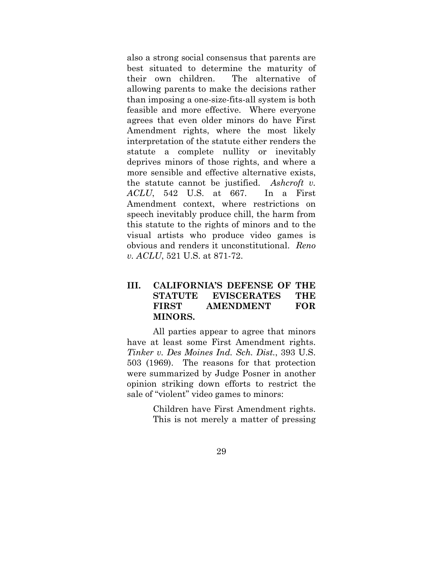also a strong social consensus that parents are best situated to determine the maturity of their own children. The alternative of allowing parents to make the decisions rather than imposing a one-size-fits-all system is both feasible and more effective. Where everyone agrees that even older minors do have First Amendment rights, where the most likely interpretation of the statute either renders the statute a complete nullity or inevitably deprives minors of those rights, and where a more sensible and effective alternative exists, the statute cannot be justified. *Ashcroft v. ACLU*, 542 U.S. at 667. In a First Amendment context, where restrictions on speech inevitably produce chill, the harm from this statute to the rights of minors and to the visual artists who produce video games is obvious and renders it unconstitutional. *Reno v. ACLU*, 521 U.S. at 871-72.

## **III. CALIFORNIA'S DEFENSE OF THE STATUTE EVISCERATES THE FIRST AMENDMENT FOR MINORS.**

 All parties appear to agree that minors have at least some First Amendment rights. *Tinker v. Des Moines Ind. Sch. Dist.*, 393 U.S. 503 (1969). The reasons for that protection were summarized by Judge Posner in another opinion striking down efforts to restrict the sale of "violent" video games to minors:

> Children have First Amendment rights. This is not merely a matter of pressing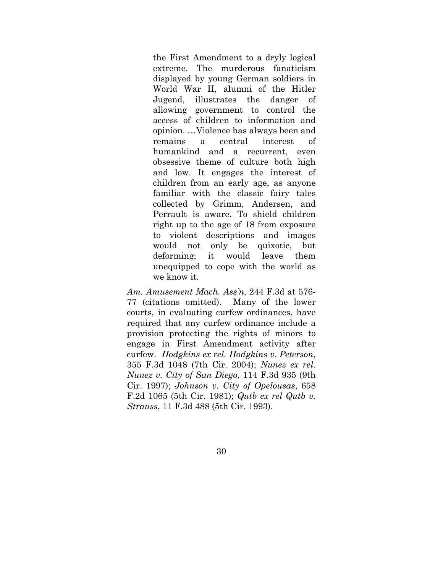the First Amendment to a dryly logical extreme. The murderous fanaticism displayed by young German soldiers in World War II, alumni of the Hitler Jugend, illustrates the danger of allowing government to control the access of children to information and opinion. …Violence has always been and remains a central interest of humankind and a recurrent, even obsessive theme of culture both high and low. It engages the interest of children from an early age, as anyone familiar with the classic fairy tales collected by Grimm, Andersen, and Perrault is aware. To shield children right up to the age of 18 from exposure to violent descriptions and images would not only be quixotic, but deforming; it would leave them unequipped to cope with the world as we know it.

*Am. Amusement Mach. Ass'n*, 244 F.3d at 576- 77 (citations omitted). Many of the lower courts, in evaluating curfew ordinances, have required that any curfew ordinance include a provision protecting the rights of minors to engage in First Amendment activity after curfew. *Hodgkins ex rel. Hodgkins v. Peterson*, 355 F.3d 1048 (7th Cir. 2004); *Nunez ex rel. Nunez v. City of San Diego*, 114 F.3d 935 (9th Cir. 1997); *Johnson v. City of Opelousas*, 658 F.2d 1065 (5th Cir. 1981); *Qutb ex rel Qutb v. Strauss*, 11 F.3d 488 (5th Cir. 1993).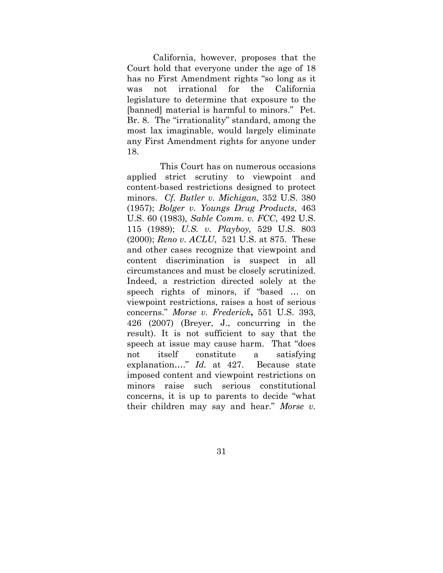California, however, proposes that the Court hold that everyone under the age of 18 has no First Amendment rights "so long as it was not irrational for the California legislature to determine that exposure to the [banned] material is harmful to minors." Pet. Br. 8. The "irrationality" standard, among the most lax imaginable, would largely eliminate any First Amendment rights for anyone under 18.

 This Court has on numerous occasions applied strict scrutiny to viewpoint and content-based restrictions designed to protect minors. *Cf. Butler v. Michigan,* 352 U.S. 380 (1957); *Bolger v. Youngs Drug Products*, 463 U.S. 60 (1983)*, Sable Comm. v. FCC*, 492 U.S. 115 (1989); *U.S. v. Playboy,* 529 U.S. 803 (2000); *Reno v. ACLU*, 521 U.S. at 875. These and other cases recognize that viewpoint and content discrimination is suspect in all circumstances and must be closely scrutinized. Indeed, a restriction directed solely at the speech rights of minors, if "based … on viewpoint restrictions, raises a host of serious concerns." *Morse v. Frederick***,** 551 U.S. 393, 426 (2007) (Breyer, J., concurring in the result). It is not sufficient to say that the speech at issue may cause harm. That "does not itself constitute a satisfying explanation…." *Id.* at 427. Because state imposed content and viewpoint restrictions on minors raise such serious constitutional concerns, it is up to parents to decide "what their children may say and hear." *Morse v.*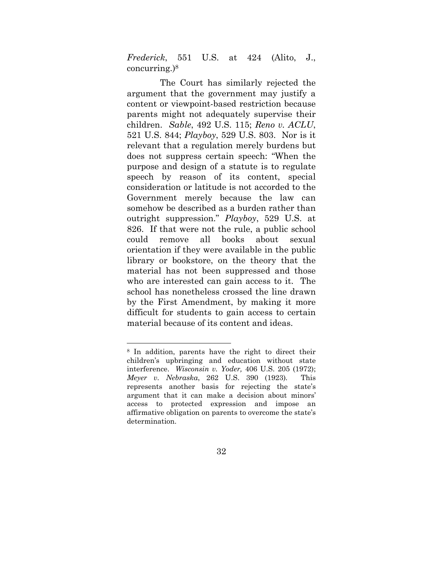*Frederick*, 551 U.S. at 424 (Alito, J., concurring.)8

 The Court has similarly rejected the argument that the government may justify a content or viewpoint-based restriction because parents might not adequately supervise their children. *Sable*, 492 U.S. 115; *Reno v. ACLU*, 521 U.S. 844; *Playboy*, 529 U.S. 803. Nor is it relevant that a regulation merely burdens but does not suppress certain speech: "When the purpose and design of a statute is to regulate speech by reason of its content, special consideration or latitude is not accorded to the Government merely because the law can somehow be described as a burden rather than outright suppression." *Playboy*, 529 U.S. at 826. If that were not the rule, a public school could remove all books about sexual orientation if they were available in the public library or bookstore, on the theory that the material has not been suppressed and those who are interested can gain access to it. The school has nonetheless crossed the line drawn by the First Amendment, by making it more difficult for students to gain access to certain material because of its content and ideas.

<sup>8</sup> In addition, parents have the right to direct their children's upbringing and education without state interference. *Wisconsin v. Yoder,* 406 U.S. 205 (1972); *Meyer v. Nebraska*, 262 U.S. 390 (1923)*.* This represents another basis for rejecting the state's argument that it can make a decision about minors' access to protected expression and impose an affirmative obligation on parents to overcome the state's determination.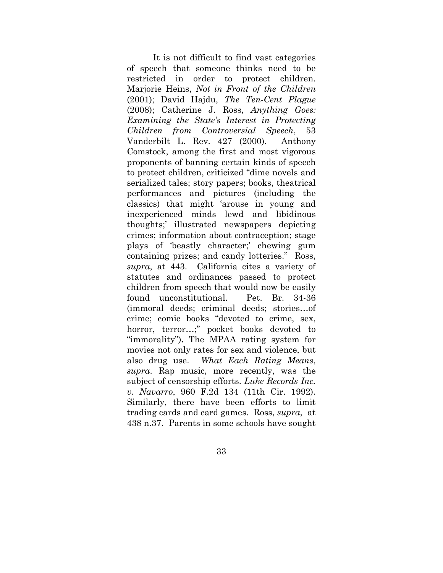It is not difficult to find vast categories of speech that someone thinks need to be restricted in order to protect children. Marjorie Heins, *Not in Front of the Children* (2001); David Hajdu, *The Ten-Cent Plague* (2008); Catherine J. Ross, *Anything Goes: Examining the State's Interest in Protecting Children from Controversial Speech*, 53 Vanderbilt L. Rev. 427 (2000). Anthony Comstock, among the first and most vigorous proponents of banning certain kinds of speech to protect children, criticized "dime novels and serialized tales; story papers; books, theatrical performances and pictures (including the classics) that might 'arouse in young and inexperienced minds lewd and libidinous thoughts;' illustrated newspapers depicting crimes; information about contraception; stage plays of 'beastly character;' chewing gum containing prizes; and candy lotteries." Ross, *supra*, at 443. California cites a variety of statutes and ordinances passed to protect children from speech that would now be easily found unconstitutional. Pet. Br. 34-36 (immoral deeds; criminal deeds; stories…of crime; comic books "devoted to crime, sex, horror, terror…;" pocket books devoted to "immorality")**.** The MPAA rating system for movies not only rates for sex and violence, but also drug use. *What Each Rating Means*, *supra*. Rap music, more recently, was the subject of censorship efforts. *Luke Records Inc. v. Navarro*, 960 F.2d 134 (11th Cir. 1992). Similarly, there have been efforts to limit trading cards and card games. Ross, *supra*, at 438 n.37. Parents in some schools have sought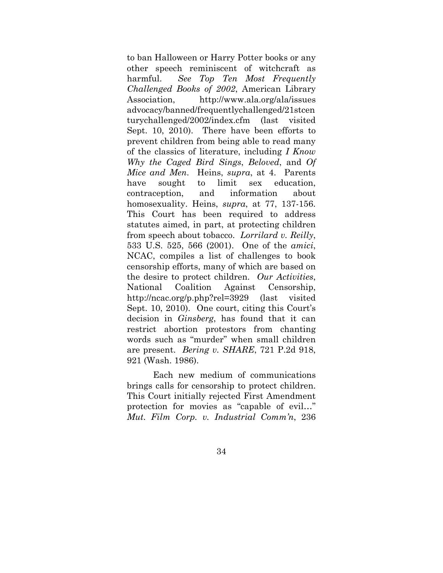to ban Halloween or Harry Potter books or any other speech reminiscent of witchcraft as harmful. *See Top Ten Most Frequently Challenged Books of 2002*, American Library Association, http://www.ala.org/ala/issues advocacy/banned/frequentlychallenged/21stcen turychallenged/2002/index.cfm (last visited Sept. 10, 2010). There have been efforts to prevent children from being able to read many of the classics of literature, including *I Know Why the Caged Bird Sings*, *Beloved*, and *Of Mice and Men*. Heins, *supra*, at 4. Parents have sought to limit sex education, contraception, and information about homosexuality. Heins, *supra*, at 77, 137-156. This Court has been required to address statutes aimed, in part, at protecting children from speech about tobacco. *Lorrilard v. Reilly*, 533 U.S. 525, 566 (2001). One of the *amici*, NCAC, compiles a list of challenges to book censorship efforts, many of which are based on the desire to protect children. *Our Activities*, National Coalition Against Censorship, http://ncac.org/p.php?rel=3929 (last visited Sept. 10, 2010). One court, citing this Court's decision in *Ginsberg*, has found that it can restrict abortion protestors from chanting words such as "murder" when small children are present. *Bering v. SHARE*, 721 P.2d 918, 921 (Wash. 1986).

 Each new medium of communications brings calls for censorship to protect children. This Court initially rejected First Amendment protection for movies as "capable of evil…" *Mut. Film Corp. v. Industrial Comm'n*, 236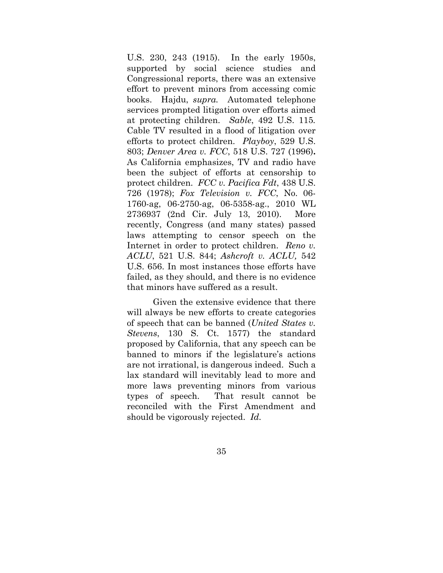U.S. 230, 243 (1915). In the early 1950s, supported by social science studies and Congressional reports, there was an extensive effort to prevent minors from accessing comic books. Hajdu, *supra.* Automated telephone services prompted litigation over efforts aimed at protecting children. *Sable*, 492 U.S. 115*.* Cable TV resulted in a flood of litigation over efforts to protect children. *Playboy*, 529 U.S. 803; *Denver Area v. FCC*, 518 U.S. 727 (1996)**.** As California emphasizes, TV and radio have been the subject of efforts at censorship to protect children. *FCC v. Pacifica Fdt*, 438 U.S. 726 (1978); *Fox Television v. FCC*, No. 06- 1760-ag, 06-2750-ag, 06-5358-ag., 2010 WL 2736937 (2nd Cir. July 13, 2010). More recently, Congress (and many states) passed laws attempting to censor speech on the Internet in order to protect children. *Reno v. ACLU*, 521 U.S. 844; *Ashcroft v. ACLU,* 542 U.S. 656. In most instances those efforts have failed, as they should, and there is no evidence that minors have suffered as a result.

 Given the extensive evidence that there will always be new efforts to create categories of speech that can be banned (*United States v. Stevens*, 130 S. Ct. 1577) the standard proposed by California, that any speech can be banned to minors if the legislature's actions are not irrational, is dangerous indeed. Such a lax standard will inevitably lead to more and more laws preventing minors from various types of speech. That result cannot be reconciled with the First Amendment and should be vigorously rejected. *Id.*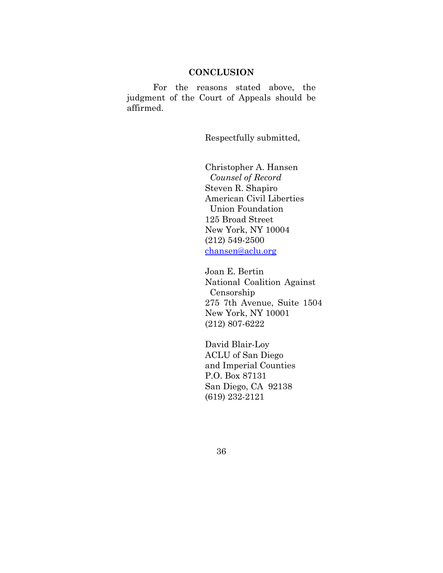#### **CONCLUSION**

 For the reasons stated above, the judgment of the Court of Appeals should be affirmed.

Respectfully submitted,

 Christopher A. Hansen *Counsel of Record* Steven R. Shapiro American Civil Liberties Union Foundation 125 Broad Street New York, NY 10004 (212) 549-2500 chansen@aclu.org

 Joan E. Bertin National Coalition Against Censorship 275 7th Avenue, Suite 1504 New York, NY 10001 (212) 807-6222

David Blair-Loy ACLU of San Diego and Imperial Counties P.O. Box 87131 San Diego, CA 92138 (619) 232-2121